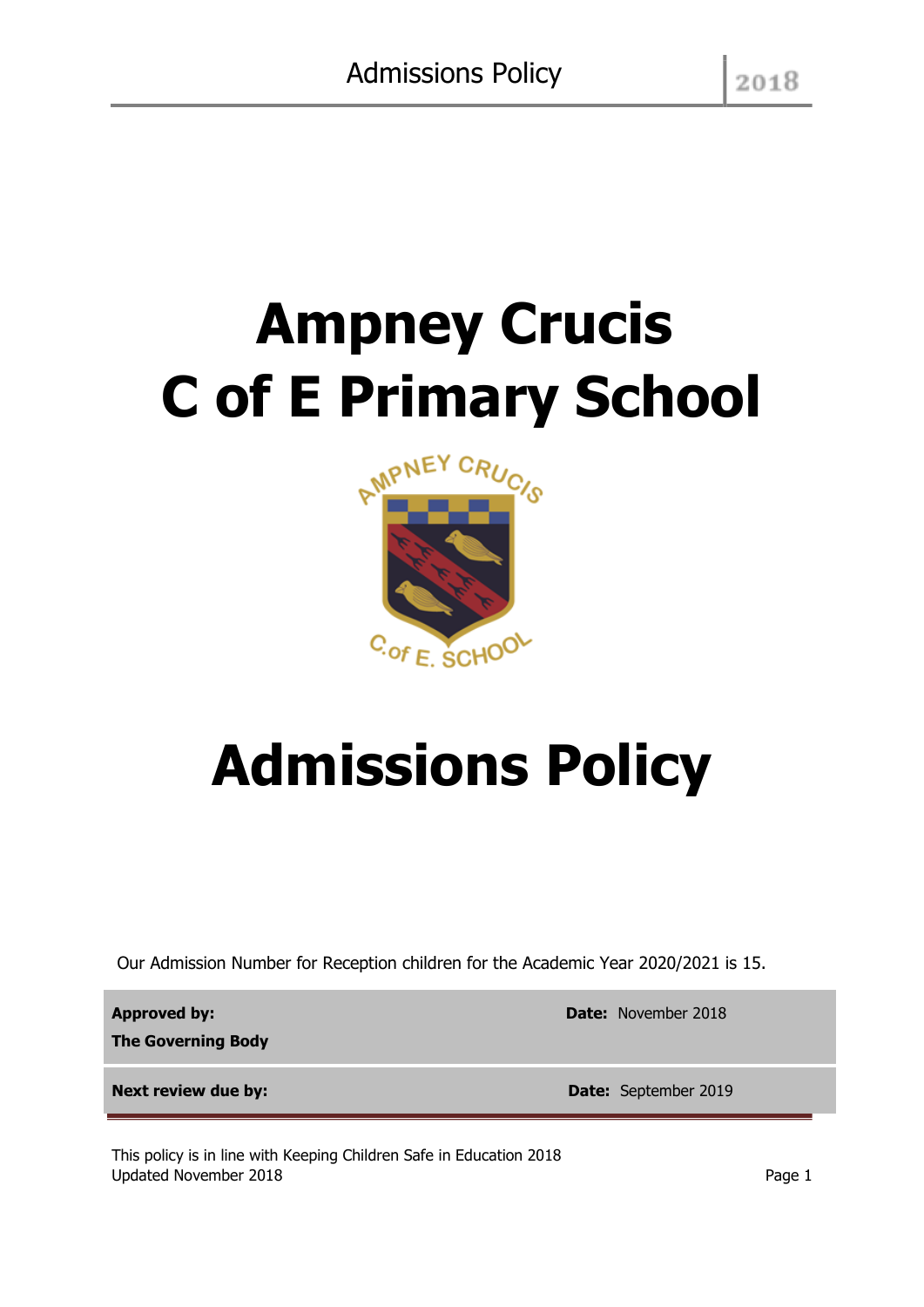# **Ampney Crucis C of E Primary School**



# **Admissions Policy**

Our Admission Number for Reception children for the Academic Year 2020/2021 is 15.

**Approved by:** 

**The Governing Body**

**Next review due by: Date:** September 2019

This policy is in line with Keeping Children Safe in Education 2018 Updated November 2018 **Page 1** Page 1

**Date:** November 2018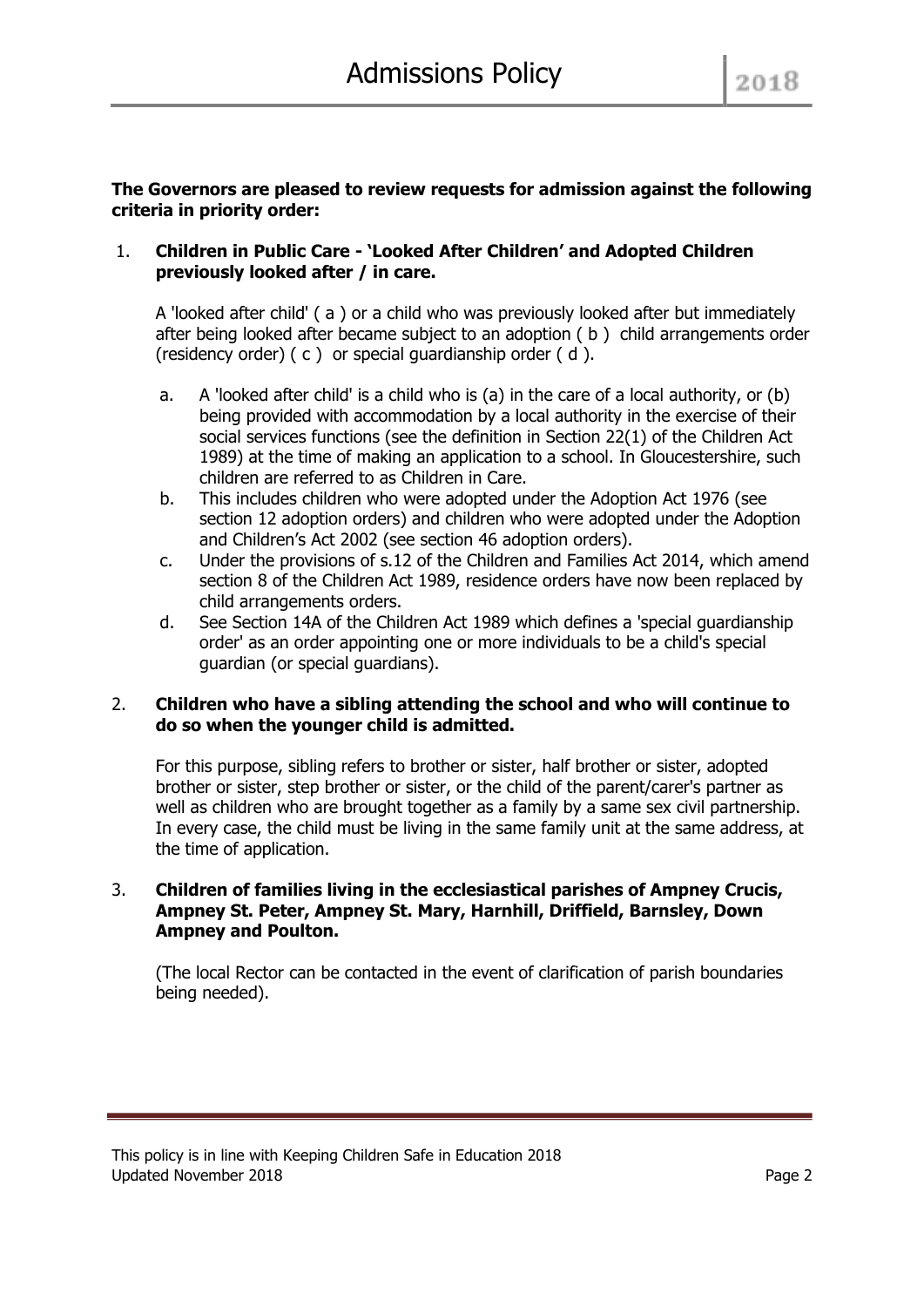# **The Governors are pleased to review requests for admission against the following criteria in priority order:**

# 1. **Children in Public Care - 'Looked After Children' and Adopted Children previously looked after / in care.**

A 'looked after child' ( a ) or a child who was previously looked after but immediately after being looked after became subject to an adoption ( b ) child arrangements order (residency order) ( c ) or special guardianship order ( d ).

- a. A 'looked after child' is a child who is (a) in the care of a local authority, or (b) being provided with accommodation by a local authority in the exercise of their social services functions (see the definition in Section 22(1) of the Children Act 1989) at the time of making an application to a school. In Gloucestershire, such children are referred to as Children in Care.
- b. This includes children who were adopted under the Adoption Act 1976 (see section 12 adoption orders) and children who were adopted under the Adoption and Children's Act 2002 (see section 46 adoption orders).
- c. Under the provisions of s.12 of the Children and Families Act 2014, which amend section 8 of the Children Act 1989, residence orders have now been replaced by child arrangements orders.
- d. See Section 14A of the Children Act 1989 which defines a 'special guardianship order' as an order appointing one or more individuals to be a child's special guardian (or special guardians).

# 2. **Children who have a sibling attending the school and who will continue to do so when the younger child is admitted.**

For this purpose, sibling refers to brother or sister, half brother or sister, adopted brother or sister, step brother or sister, or the child of the parent/carer's partner as well as children who are brought together as a family by a same sex civil partnership. In every case, the child must be living in the same family unit at the same address, at the time of application.

# 3. **Children of families living in the ecclesiastical parishes of Ampney Crucis, Ampney St. Peter, Ampney St. Mary, Harnhill, Driffield, Barnsley, Down Ampney and Poulton.**

(The local Rector can be contacted in the event of clarification of parish boundaries being needed).

This policy is in line with Keeping Children Safe in Education 2018 Updated November 2018 **Page 2** and the Updated November 2018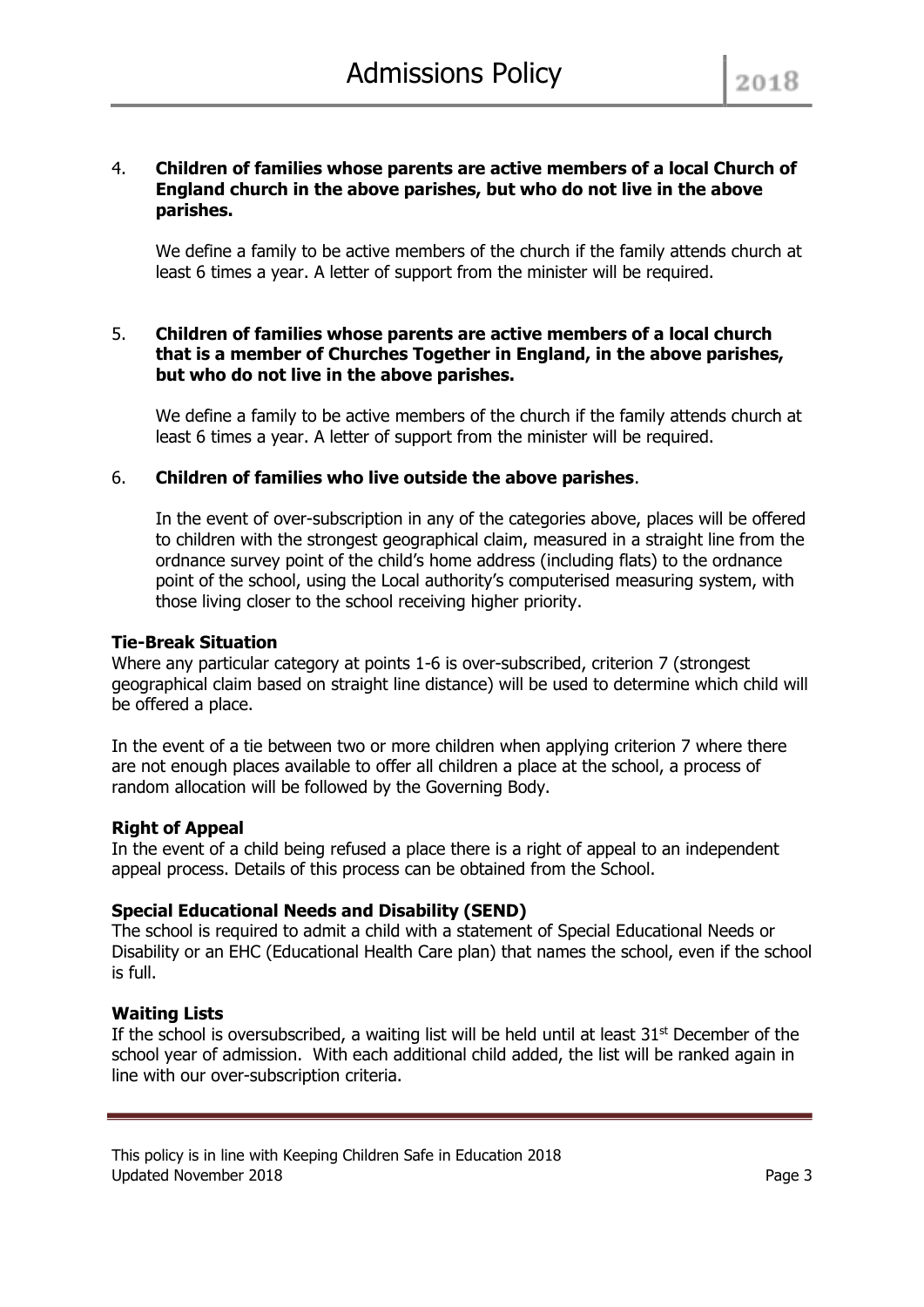#### 4. **Children of families whose parents are active members of a local Church of England church in the above parishes, but who do not live in the above parishes.**

We define a family to be active members of the church if the family attends church at least 6 times a year. A letter of support from the minister will be required.

#### 5. **Children of families whose parents are active members of a local church that is a member of Churches Together in England, in the above parishes, but who do not live in the above parishes.**

We define a family to be active members of the church if the family attends church at least 6 times a year. A letter of support from the minister will be required.

# 6. **Children of families who live outside the above parishes**.

In the event of over-subscription in any of the categories above, places will be offered to children with the strongest geographical claim, measured in a straight line from the ordnance survey point of the child's home address (including flats) to the ordnance point of the school, using the Local authority's computerised measuring system, with those living closer to the school receiving higher priority.

#### **Tie-Break Situation**

Where any particular category at points 1-6 is over-subscribed, criterion 7 (strongest geographical claim based on straight line distance) will be used to determine which child will be offered a place.

In the event of a tie between two or more children when applying criterion 7 where there are not enough places available to offer all children a place at the school, a process of random allocation will be followed by the Governing Body.

# **Right of Appeal**

In the event of a child being refused a place there is a right of appeal to an independent appeal process. Details of this process can be obtained from the School.

# **Special Educational Needs and Disability (SEND)**

The school is required to admit a child with a statement of Special Educational Needs or Disability or an EHC (Educational Health Care plan) that names the school, even if the school is full.

#### **Waiting Lists**

If the school is oversubscribed, a waiting list will be held until at least  $31<sup>st</sup>$  December of the school year of admission. With each additional child added, the list will be ranked again in line with our over-subscription criteria.